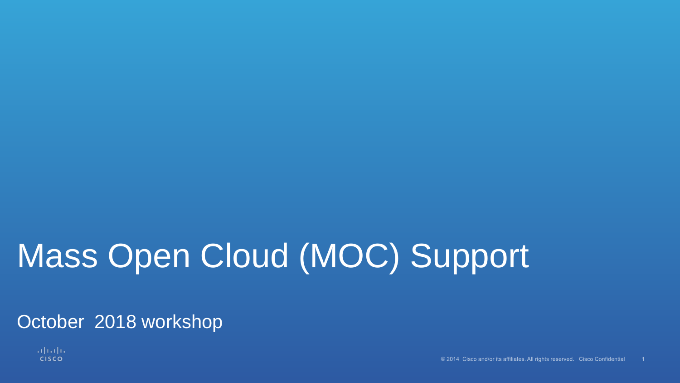# Mass Open Cloud (MOC) Support

October 2018 workshop

altalia **CISCO**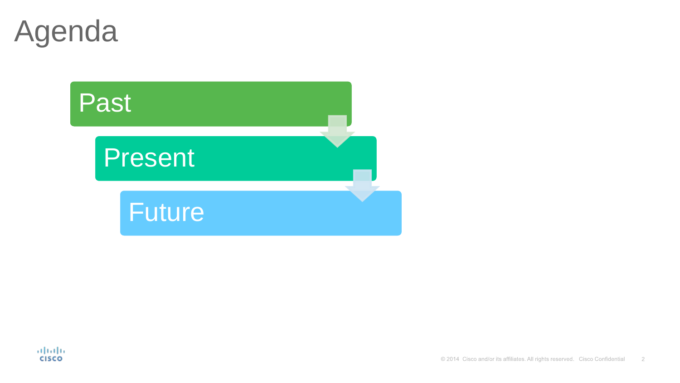Agenda



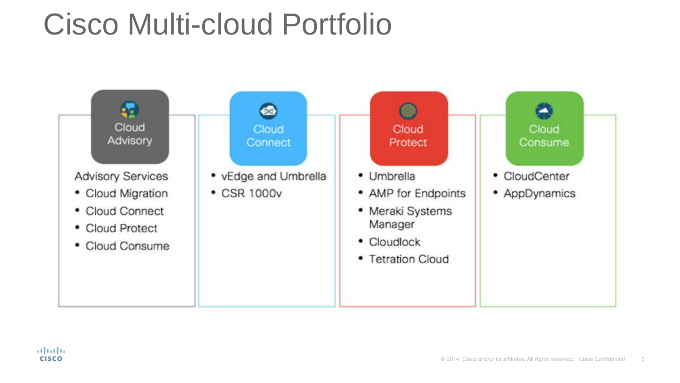## Cisco Multi-cloud Portfolio

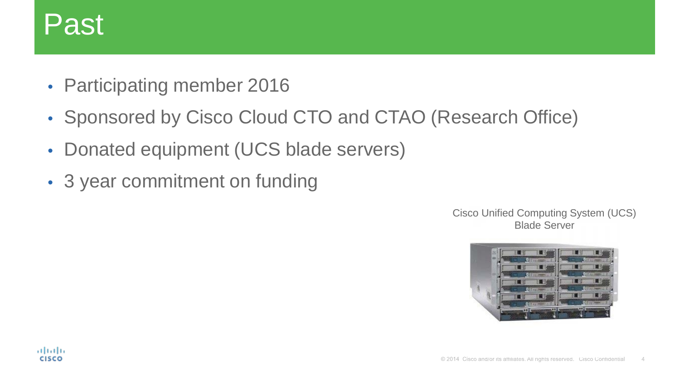## Past

- Participating member 2016
- Sponsored by Cisco Cloud CTO and CTAO (Research Office)
- Donated equipment (UCS blade servers)
- 3 year commitment on funding

Cisco Unified Computing System (UCS) Blade Server

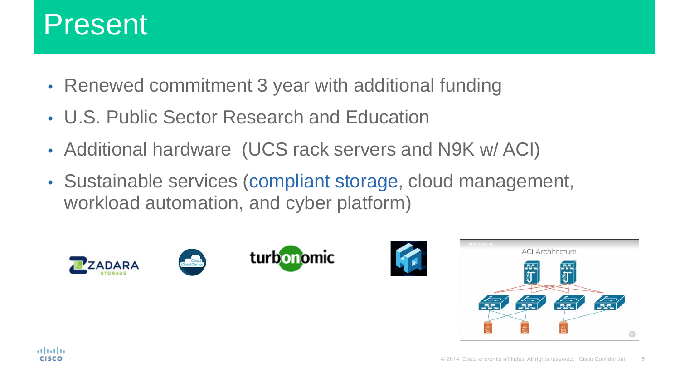

- Renewed commitment 3 year with additional funding
- U.S. Public Sector Research and Education
- Additional hardware (UCS rack servers and N9K w/ ACI)
- Sustainable services (compliant storage, cloud management, workload automation, and cyber platform)









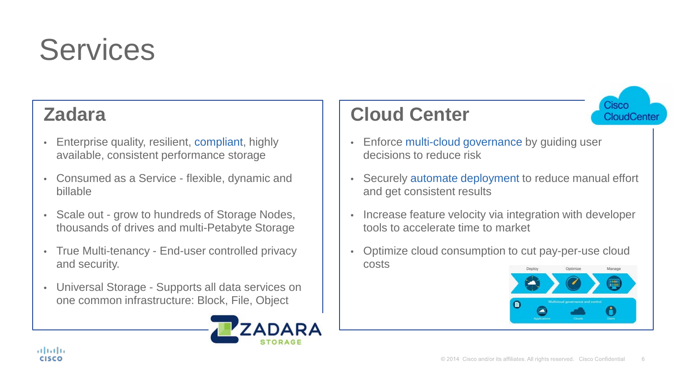

#### **Zadara**

- Enterprise quality, resilient, compliant, highly available, consistent performance storage
- Consumed as a Service flexible, dynamic and billable
- Scale out grow to hundreds of Storage Nodes, thousands of drives and multi-Petabyte Storage
- True Multi-tenancy End-user controlled privacy and security.
- Universal Storage Supports all data services on one common infrastructure: Block, File, Object



#### **Cloud Center**



- Enforce multi-cloud governance by quiding user decisions to reduce risk
- Securely automate deployment to reduce manual effort and get consistent results
- Increase feature velocity via integration with developer tools to accelerate time to market
- Optimize cloud consumption to cut pay-per-use cloud costs Deple

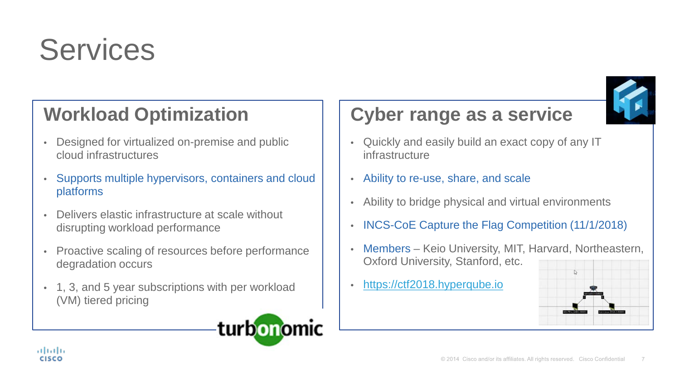

#### **Workload Optimization**

- Designed for virtualized on-premise and public cloud infrastructures
- Supports multiple hypervisors, containers and cloud platforms
- Delivers elastic infrastructure at scale without disrupting workload performance
- Proactive scaling of resources before performance degradation occurs
- 1, 3, and 5 year subscriptions with per workload (VM) tiered pricing



#### **Cyber range as a service**

- Quickly and easily build an exact copy of any IT infrastructure
- Ability to re-use, share, and scale
- Ability to bridge physical and virtual environments
- INCS-CoE Capture the Flag Competition (11/1/2018)
- Members Keio University, MIT, Harvard, Northeastern, Oxford University, Stanford, etc.
- [https://ctf2018.hyperqube.io](https://ctf2018.hyperqube.io/)

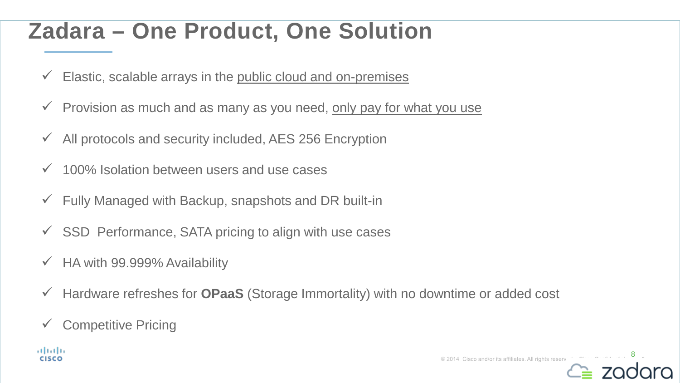### **Zadara – One Product, One Solution**

- $\checkmark$  Elastic, scalable arrays in the public cloud and on-premises
- $\checkmark$  Provision as much and as many as you need, only pay for what you use
- $\overline{\phantom{a}}$  All protocols and security included, AES 256 Encryption
- $\checkmark$  100% Isolation between users and use cases
- $\checkmark$  Fully Managed with Backup, snapshots and DR built-in
- $\checkmark$  SSD Performance, SATA pricing to align with use cases
- $\checkmark$  HA with 99.999% Availability
- Hardware refreshes for **OPaaS** (Storage Immortality) with no downtime or added cost
- $\checkmark$  Competitive Pricing

almla **CISCO** 

© 2014 Cisco and/or its affiliates. All rights reserve

8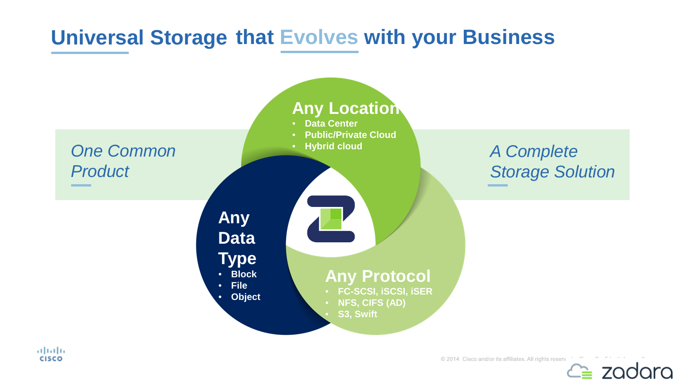#### **Universal Storage that Evolves with your Business**



altalia **CISCO** 

© 2014 Cisco and/or its affiliates. All rights reserv

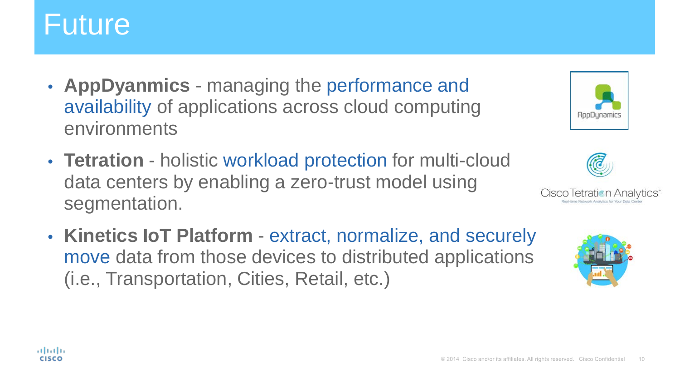## Future

- **AppDyanmics** managing the performance and availability of applications across cloud computing environments
- **Tetration** holistic workload protection for multi-cloud data centers by enabling a zero-trust model using segmentation.
- **Kinetics IoT Platform**  extract, normalize, and securely move data from those devices to distributed applications (i.e., Transportation, Cities, Retail, etc.)